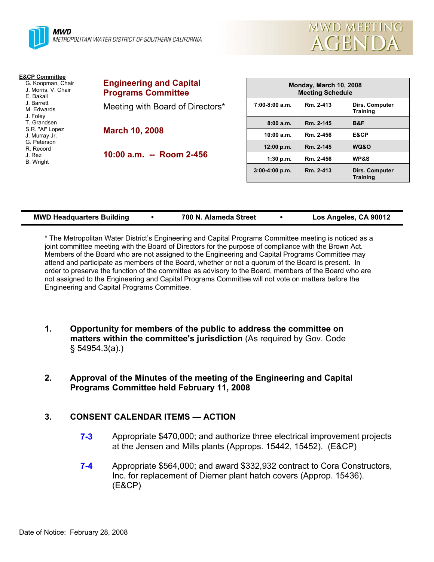



**Training** 

| <b>E&amp;CP Committee</b><br>G. Koopman, Chair<br>J. Morris, V. Chair<br>E. Bakall<br>J. Barrett<br>M. Edwards<br>J. Foley | <b>Engineering and Capital</b><br><b>Programs Committee</b> |                  | Monday, March 10, 2008<br><b>Meeting Schedule</b> |                                          |  |
|----------------------------------------------------------------------------------------------------------------------------|-------------------------------------------------------------|------------------|---------------------------------------------------|------------------------------------------|--|
|                                                                                                                            | Meeting with Board of Directors*                            | $7:00-8:00$ a.m. | Rm. 2-413                                         | <b>Dirs. Computer</b><br><b>Training</b> |  |
| T. Grandsen<br>S.R. "Al" Lopez                                                                                             | <b>March 10, 2008</b>                                       | 8:00a.m.         | Rm. 2-145                                         | B&F                                      |  |
| J. Murray Jr.                                                                                                              |                                                             | 10:00 a.m.       | Rm. 2-456                                         | E&CP                                     |  |
| G. Peterson<br>R. Record<br>J. Rez<br>B. Wright                                                                            | 10:00 a.m. -- Room 2-456                                    | 12:00 p.m.       | Rm. 2-145                                         | WQ&O                                     |  |
|                                                                                                                            |                                                             | 1:30 p.m.        | Rm. 2-456                                         | <b>WP&amp;S</b>                          |  |
|                                                                                                                            |                                                             | $3:00-4:00$ p.m. | Rm. 2-413                                         | <b>Dirs. Computer</b>                    |  |

| <b>MWD Headquarters Building</b> | 700 N. Alameda Street |  | Los Angeles, CA 90012 |
|----------------------------------|-----------------------|--|-----------------------|
|----------------------------------|-----------------------|--|-----------------------|

\* The Metropolitan Water District's Engineering and Capital Programs Committee meeting is noticed as a joint committee meeting with the Board of Directors for the purpose of compliance with the Brown Act. Members of the Board who are not assigned to the Engineering and Capital Programs Committee may attend and participate as members of the Board, whether or not a quorum of the Board is present. In order to preserve the function of the committee as advisory to the Board, members of the Board who are not assigned to the Engineering and Capital Programs Committee will not vote on matters before the Engineering and Capital Programs Committee.

- **1. Opportunity for members of the public to address the committee on matters within the committee's jurisdiction** (As required by Gov. Code § 54954.3(a).)
- **2. Approval of the Minutes of the meeting of the Engineering and Capital Programs Committee held February 11, 2008**

# **3. CONSENT CALENDAR ITEMS — ACTION**

- **7-3** Appropriate \$470,000; and authorize three electrical improvement projects at the Jensen and Mills plants (Approps. 15442, 15452). (E&CP)
- **7-4** Appropriate \$564,000; and award \$332,932 contract to Cora Constructors, Inc. for replacement of Diemer plant hatch covers (Approp. 15436). (E&CP)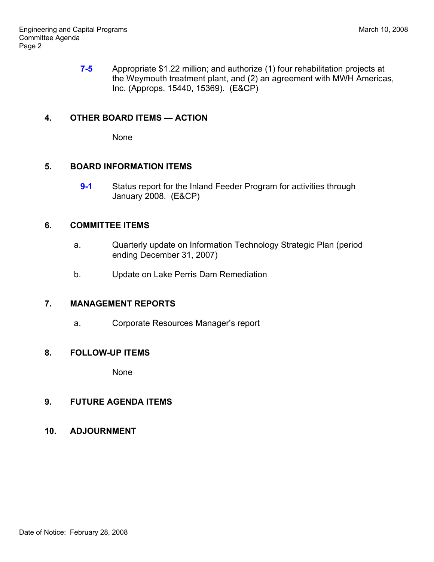**7-5** Appropriate \$1.22 million; and authorize (1) four rehabilitation projects at the Weymouth treatment plant, and (2) an agreement with MWH Americas, Inc. (Approps. 15440, 15369). (E&CP)

### **4. OTHER BOARD ITEMS — ACTION**

None

#### **5. BOARD INFORMATION ITEMS**

**9-1** Status report for the Inland Feeder Program for activities through January 2008. (E&CP)

#### **6. COMMITTEE ITEMS**

- a. Quarterly update on Information Technology Strategic Plan (period ending December 31, 2007)
- b. Update on Lake Perris Dam Remediation

# **7. MANAGEMENT REPORTS**

a. Corporate Resources Manager's report

### **8. FOLLOW-UP ITEMS**

None

# **9. FUTURE AGENDA ITEMS**

**10. ADJOURNMENT**